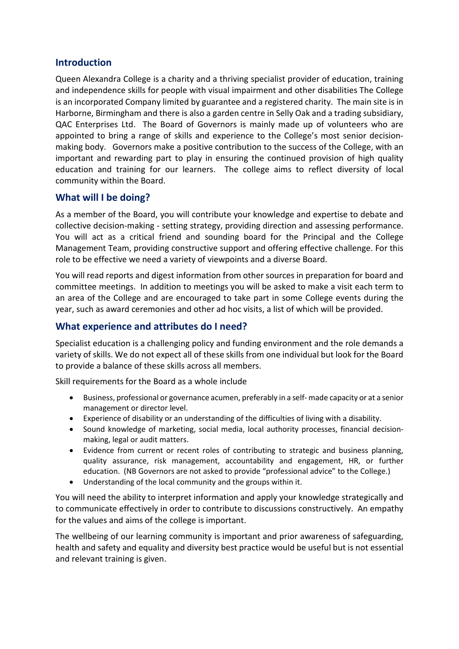## **Introduction**

Queen Alexandra College is a charity and a thriving specialist provider of education, training and independence skills for people with visual impairment and other disabilities The College is an incorporated Company limited by guarantee and a registered charity. The main site is in Harborne, Birmingham and there is also a garden centre in Selly Oak and a trading subsidiary, QAC Enterprises Ltd. The Board of Governors is mainly made up of volunteers who are appointed to bring a range of skills and experience to the College's most senior decisionmaking body. Governors make a positive contribution to the success of the College, with an important and rewarding part to play in ensuring the continued provision of high quality education and training for our learners. The college aims to reflect diversity of local community within the Board.

#### **What will I be doing?**

As a member of the Board, you will contribute your knowledge and expertise to debate and collective decision-making - setting strategy, providing direction and assessing performance. You will act as a critical friend and sounding board for the Principal and the College Management Team, providing constructive support and offering effective challenge. For this role to be effective we need a variety of viewpoints and a diverse Board.

You will read reports and digest information from other sources in preparation for board and committee meetings. In addition to meetings you will be asked to make a visit each term to an area of the College and are encouraged to take part in some College events during the year, such as award ceremonies and other ad hoc visits, a list of which will be provided.

#### **What experience and attributes do I need?**

Specialist education is a challenging policy and funding environment and the role demands a variety of skills. We do not expect all of these skills from one individual but look for the Board to provide a balance of these skills across all members.

Skill requirements for the Board as a whole include

- Business, professional or governance acumen, preferably in a self- made capacity or at a senior management or director level.
- Experience of disability or an understanding of the difficulties of living with a disability.
- Sound knowledge of marketing, social media, local authority processes, financial decisionmaking, legal or audit matters.
- Evidence from current or recent roles of contributing to strategic and business planning, quality assurance, risk management, accountability and engagement, HR, or further education. (NB Governors are not asked to provide "professional advice" to the College.)
- Understanding of the local community and the groups within it.

You will need the ability to interpret information and apply your knowledge strategically and to communicate effectively in order to contribute to discussions constructively. An empathy for the values and aims of the college is important.

The wellbeing of our learning community is important and prior awareness of safeguarding, health and safety and equality and diversity best practice would be useful but is not essential and relevant training is given.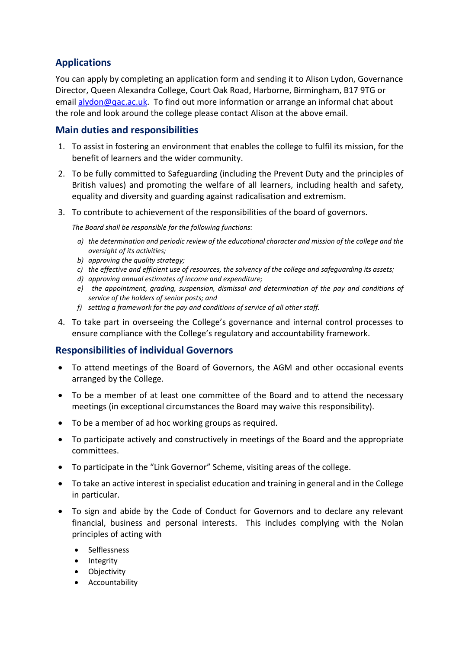# **Applications**

You can apply by completing an application form and sending it to Alison Lydon, Governance Director, Queen Alexandra College, Court Oak Road, Harborne, Birmingham, B17 9TG or email [alydon@qac.ac.uk.](mailto:alydon@qac.ac.uk) To find out more information or arrange an informal chat about the role and look around the college please contact Alison at the above email.

## **Main duties and responsibilities**

- 1. To assist in fostering an environment that enables the college to fulfil its mission, for the benefit of learners and the wider community.
- 2. To be fully committed to Safeguarding (including the Prevent Duty and the principles of British values) and promoting the welfare of all learners, including health and safety, equality and diversity and guarding against radicalisation and extremism.
- 3. To contribute to achievement of the responsibilities of the board of governors.

*The Board shall be responsible for the following functions:*

- *a) the determination and periodic review of the educational character and mission of the college and the oversight of its activities;*
- *b) approving the quality strategy;*
- *c) the effective and efficient use of resources, the solvency of the college and safeguarding its assets;*
- *d) approving annual estimates of income and expenditure;*
- *e) the appointment, grading, suspension, dismissal and determination of the pay and conditions of service of the holders of senior posts; and*
- *f) setting a framework for the pay and conditions of service of all other staff.*
- 4. To take part in overseeing the College's governance and internal control processes to ensure compliance with the College's regulatory and accountability framework.

## **Responsibilities of individual Governors**

- To attend meetings of the Board of Governors, the AGM and other occasional events arranged by the College.
- To be a member of at least one committee of the Board and to attend the necessary meetings (in exceptional circumstances the Board may waive this responsibility).
- To be a member of ad hoc working groups as required.
- To participate actively and constructively in meetings of the Board and the appropriate committees.
- To participate in the "Link Governor" Scheme, visiting areas of the college.
- To take an active interest in specialist education and training in general and in the College in particular.
- To sign and abide by the Code of Conduct for Governors and to declare any relevant financial, business and personal interests. This includes complying with the Nolan principles of acting with
	- Selflessness
	- Integrity
	- Objectivity
	- Accountability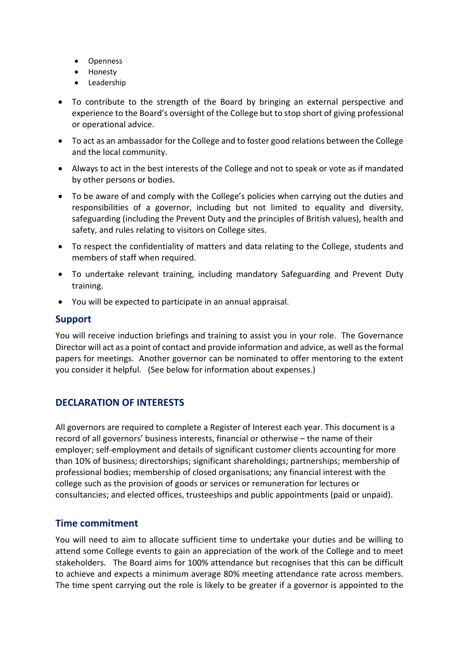- Openness
- Honesty
- **Leadership**
- To contribute to the strength of the Board by bringing an external perspective and experience to the Board's oversight of the College but to stop short of giving professional or operational advice.
- To act as an ambassador for the College and to foster good relations between the College and the local community.
- Always to act in the best interests of the College and not to speak or vote as if mandated by other persons or bodies.
- To be aware of and comply with the College's policies when carrying out the duties and responsibilities of a governor, including but not limited to equality and diversity, safeguarding (including the Prevent Duty and the principles of British values), health and safety, and rules relating to visitors on College sites.
- To respect the confidentiality of matters and data relating to the College, students and members of staff when required.
- To undertake relevant training, including mandatory Safeguarding and Prevent Duty training.
- You will be expected to participate in an annual appraisal.

#### **Support**

You will receive induction briefings and training to assist you in your role. The Governance Director will act as a point of contact and provide information and advice, as well as the formal papers for meetings. Another governor can be nominated to offer mentoring to the extent you consider it helpful. (See below for information about expenses.)

## **DECLARATION OF INTERESTS**

All governors are required to complete a Register of Interest each year. This document is a record of all governors' business interests, financial or otherwise – the name of their employer; self-employment and details of significant customer clients accounting for more than 10% of business; directorships; significant shareholdings; partnerships; membership of professional bodies; membership of closed organisations; any financial interest with the college such as the provision of goods or services or remuneration for lectures or consultancies; and elected offices, trusteeships and public appointments (paid or unpaid).

## **Time commitment**

You will need to aim to allocate sufficient time to undertake your duties and be willing to attend some College events to gain an appreciation of the work of the College and to meet stakeholders. The Board aims for 100% attendance but recognises that this can be difficult to achieve and expects a minimum average 80% meeting attendance rate across members. The time spent carrying out the role is likely to be greater if a governor is appointed to the